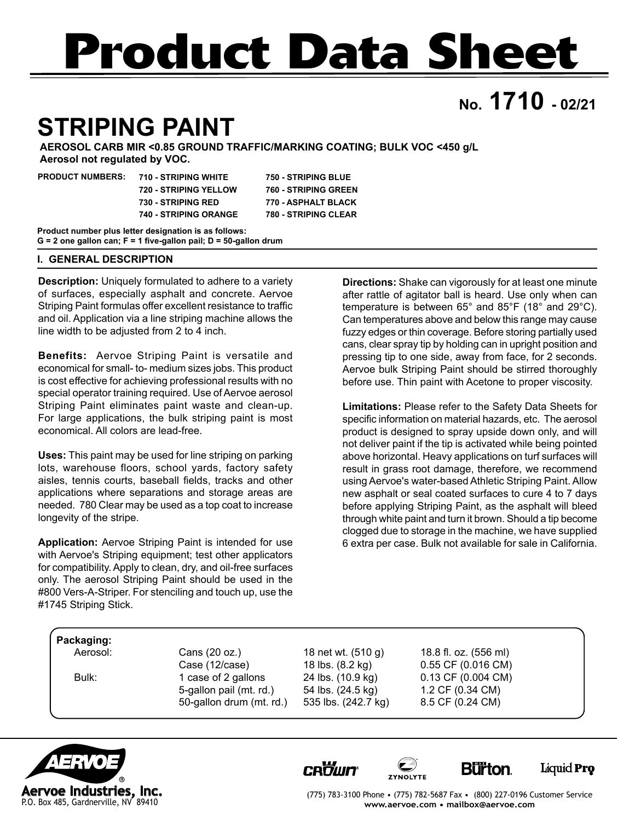# **Product Data Sheet**

## **No. 1710 - 02/21**

## **STRIPING PAINT**

**AEROSOL CARB MIR <0.85 GROUND TRAFFIC/MARKING COATING; BULK VOC <450 g/L Aerosol not regulated by VOC.**

| <b>PRODUCT NUMBERS:</b> | 710 - STRIPING WHITE         | <b>750 - STRIPING BLUE</b>  |  |
|-------------------------|------------------------------|-----------------------------|--|
|                         | 720 - STRIPING YELLOW        | <b>760 - STRIPING GREEN</b> |  |
|                         | <b>730 - STRIPING RED</b>    | 770 - ASPHALT BLACK         |  |
|                         | <b>740 - STRIPING ORANGE</b> | <b>780 - STRIPING CLEAR</b> |  |
|                         | _                            |                             |  |

**Product number plus letter designation is as follows: G = 2 one gallon can; F = 1 five-gallon pail; D = 50-gallon drum**

#### **I. GENERAL DESCRIPTION**

**Description:** Uniquely formulated to adhere to a variety of surfaces, especially asphalt and concrete. Aervoe Striping Paint formulas offer excellent resistance to traffic and oil. Application via a line striping machine allows the line width to be adjusted from 2 to 4 inch.

**Benefits:** Aervoe Striping Paint is versatile and economical for small- to- medium sizes jobs. This product is cost effective for achieving professional results with no special operator training required. Use of Aervoe aerosol Striping Paint eliminates paint waste and clean-up. For large applications, the bulk striping paint is most economical. All colors are lead-free.

**Uses:** This paint may be used for line striping on parking lots, warehouse floors, school yards, factory safety aisles, tennis courts, baseball fields, tracks and other applications where separations and storage areas are needed. 780 Clear may be used as a top coat to increase longevity of the stripe.

**Application:** Aervoe Striping Paint is intended for use with Aervoe's Striping equipment; test other applicators for compatibility. Apply to clean, dry, and oil-free surfaces only. The aerosol Striping Paint should be used in the #800 Vers-A-Striper. For stenciling and touch up, use the #1745 Striping Stick.

**Directions:** Shake can vigorously for at least one minute after rattle of agitator ball is heard. Use only when can temperature is between 65° and 85°F (18° and 29°C). Can temperatures above and below this range may cause fuzzy edges or thin coverage. Before storing partially used cans, clear spray tip by holding can in upright position and pressing tip to one side, away from face, for 2 seconds. Aervoe bulk Striping Paint should be stirred thoroughly before use. Thin paint with Acetone to proper viscosity.

**Limitations:** Please refer to the Safety Data Sheets for specific information on material hazards, etc. The aerosol product is designed to spray upside down only, and will not deliver paint if the tip is activated while being pointed above horizontal. Heavy applications on turf surfaces will result in grass root damage, therefore, we recommend using Aervoe's water-based Athletic Striping Paint. Allow new asphalt or seal coated surfaces to cure 4 to 7 days before applying Striping Paint, as the asphalt will bleed through white paint and turn it brown. Should a tip become clogged due to storage in the machine, we have supplied 6 extra per case. Bulk not available for sale in California.

#### **Packaging:**

 Aerosol: Cans (20 oz.) 18 net wt. (510 g) 18.8 fl. oz. (556 ml) Case (12/case) 18 lbs. (8.2 kg) 0.55 CF (0.016 CM) Bulk: 1 case of 2 gallons 24 lbs. (10.9 kg) 0.13 CF (0.004 CM) 5-gallon pail (mt. rd.) 54 lbs. (24.5 kg) 1.2 CF (0.34 CM)<br>50-gallon drum (mt. rd.) 535 lbs. (242.7 kg) 8.5 CF (0.24 CM) 50-gallon drum (mt. rd.) 535 lbs. (242.7 kg)

(775) 783-3100 Phone • (775) 782-5687 Fax • (800) 227-0196 Customer Service **www.aervoe.com • mailbox@aervoe.com**